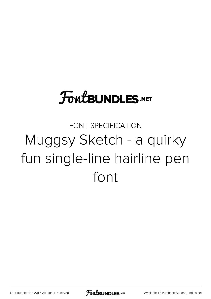## **FoutBUNDLES.NET**

### FONT SPECIFICATION Muggsy Sketch - a quirky fun single-line hairline pen font

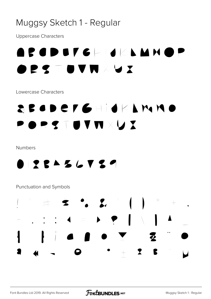#### Muggsy Sketch 1 - Regular

Uppercase Characters

#### DEFGHIJKLMN TOVWXVX

Lowercase Characters

#### abcdefghijklmno pqrstuvwxyz

Numbers



Punctuation and Symbols

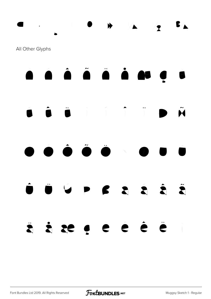$\bullet$   $\bullet$   $\rightarrow$   $\rightarrow$   $\bullet$   $\rightarrow$   $\bullet$ 

All Other Glyphs

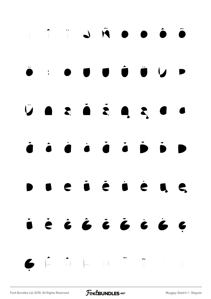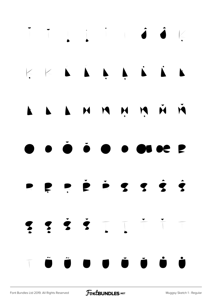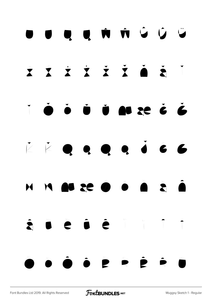# Ű ű Ų ų Ŵ ŵ Ŷ ŷ Ÿ Ź ź Ż ż Ž ž Ǎ ǎ Ǐ  $\mathbf{i}$   $\mathbf{o}$   $\mathbf{o}$   $\mathbf{o}$   $\mathbf{o}$   $\mathbf{o}$   $\mathbf{o}$   $\mathbf{o}$   $\mathbf{o}$   $\mathbf{o}$   $\mathbf{o}$   $\mathbf{o}$   $\mathbf{o}$   $\mathbf{o}$ Ǩ ǩ Ǫ ǫ Ǭ ǭ ǰ Ǵ ǵ  $M$   $M$   $M$   $M$   $Z$   $Q$   $Q$   $Q$   $Q$   $Z$ ȃ Ȅ ȅ Ȇ ȇ Ȉ ȉ Ȋ ȋ  $\bullet\hspace{0.1cm}\bullet\hspace{0.1cm}\bullet\hspace{0.1cm}\bullet\hspace{0.1cm}\bullet\hspace{0.1cm}\bullet\hspace{0.1cm}\bullet\hspace{0.1cm}\bullet\hspace{0.1cm}\bullet\hspace{0.1cm}\bullet$

[Font Bundles Ltd 2019. All Rights Reserved](https://fontbundles.net/) **FoutBUNDLES.NET** [Muggsy Sketch 1 - Regular](https://fontbundles.net/)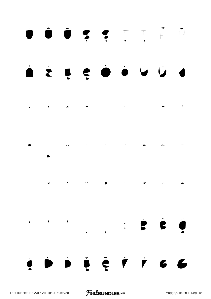

[Font Bundles Ltd 2019. All Rights Reserved](https://fontbundles.net/) **FoutBUNDLES.NET** [Muggsy Sketch 1 - Regular](https://fontbundles.net/)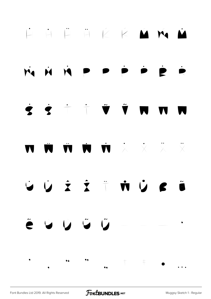

[Font Bundles Ltd 2019. All Rights Reserved](https://fontbundles.net/) **FoutBUNDLES.NET** [Muggsy Sketch 1 - Regular](https://fontbundles.net/)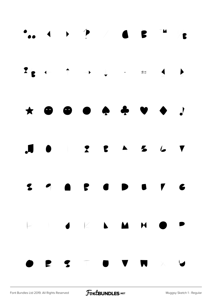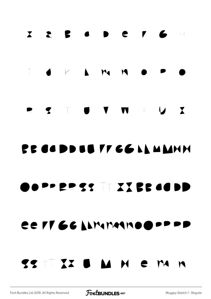### RSTUVWXUX

 $X$   $X$   $B$   $C$   $D$   $C$   $T$   $G$   $H$ 

#### RE GEDD BE FF 66 LA MANN

#### OPP PR SS IT XX BB 40 DD

### CC FF 66 ALMININOOPPPP

#### SS IL XX O M M S M M M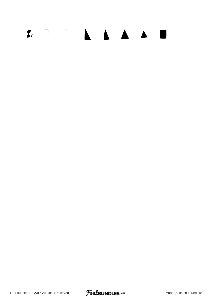### STTAAAA

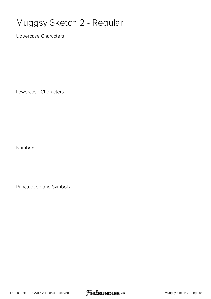#### Muggsy Sketch 2 - Regular

#### Uppercase Characters

#### Lowercase Characters

#### Numbers

#### Punctuation and Symbols

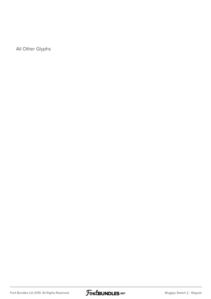All Other Glyphs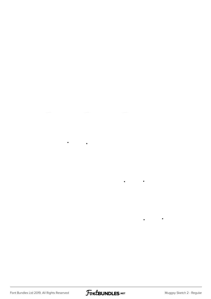Ĉ ĉ Ċ ċ Č č Ď ď Đ đ Ē ē Ĕ ĕ Ė ė Ę ę  $E \in \mathcal{E}$  de  $\mathcal{E}_t$  de  $\mathcal{E}_t$  de  $\mathcal{E}_t$ 

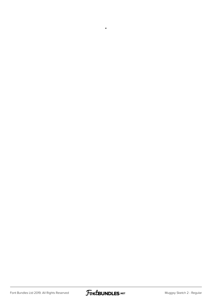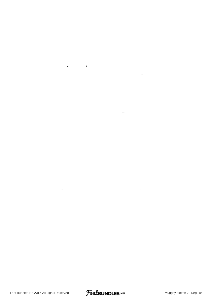Ź ź Ż ż Ž ž Ǎ ǎ Ǐ

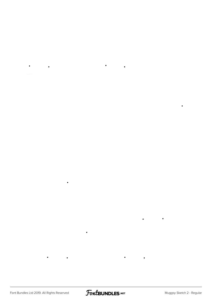$\begin{pmatrix} 1 & 1 & 1 \\ 1 & 1 & 1 \end{pmatrix}$ 

 $\epsilon$  '  $\epsilon$  '  $\epsilon$  '  $\epsilon$  '  $\epsilon$  '  $\epsilon$  '  $\epsilon$  '  $\epsilon$  '  $\epsilon$  '  $\epsilon$  '  $\epsilon$  '  $\epsilon$  '  $\epsilon$  '  $\epsilon$  '  $\epsilon$  '  $\epsilon$  '  $\epsilon$  '  $\epsilon$  '  $\epsilon$  '  $\epsilon$  '  $\epsilon$  '  $\epsilon$  '  $\epsilon$  '  $\epsilon$  '  $\epsilon$  '  $\epsilon$  '  $\epsilon$  '  $\epsilon$  '  $\epsilon$  '  $\epsilon$  '  $\epsilon$  '  $\epsilon$ 

 $\tilde{\mathbf{r}}$   $\tilde{\mathbf{r}}$   $\tilde{\mathbf{r}}$   $\tilde{\mathbf{r}}$   $\tilde{\mathbf{r}}$   $\tilde{\mathbf{r}}$   $\tilde{\mathbf{r}}$   $\tilde{\mathbf{r}}$   $\tilde{\mathbf{r}}$   $\tilde{\mathbf{r}}$   $\tilde{\mathbf{r}}$   $\tilde{\mathbf{r}}$   $\tilde{\mathbf{r}}$   $\tilde{\mathbf{r}}$   $\tilde{\mathbf{r}}$   $\tilde{\mathbf{r}}$   $\tilde{\mathbf{r}}$   $\tilde{\mathbf{r}}$   $\tilde{\$ 

̒ ̓ ̕ ̣ ̦

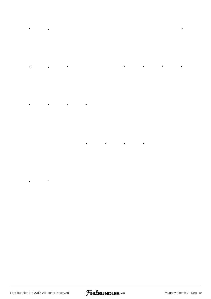#### $H = \frac{1}{\sqrt{2}}$

 $W_1$   $\begin{bmatrix} 1 & \sqrt{1} & \sqrt{1} & \sqrt{1} & \sqrt{1} & \sqrt{1} & \sqrt{1} & \sqrt{1} & \sqrt{1} & \sqrt{1} & \sqrt{1} & \sqrt{1} & \sqrt{1} & \sqrt{1} & \sqrt{1} & \sqrt{1} & \sqrt{1} & \sqrt{1} & \sqrt{1} & \sqrt{1} & \sqrt{1} & \sqrt{1} & \sqrt{1} & \sqrt{1} & \sqrt{1} & \sqrt{1} & \sqrt{1} & \sqrt{1} & \sqrt{1} & \sqrt{1} & \sqrt{1} & \sqrt{1} & \sqrt{1} & \sqrt{1} & \sqrt{1} & \$ 

 $\ddot{\phantom{1}}$  $\zeta_{\mathbf{a}} = \zeta_{\mathbf{a}} + \mathbf{1} \qquad \zeta_{\mathbf{a}}' = \zeta_{\mathbf{a}} + \zeta_{\mathbf{a}}' = \zeta_{\mathbf{a}} + \zeta_{\mathbf{a}}' = \zeta_{\mathbf{a}} + \zeta_{\mathbf{a}}' = \zeta_{\mathbf{a}} + \zeta_{\mathbf{a}}' = \zeta_{\mathbf{a}} + \zeta_{\mathbf{a}}' = \zeta_{\mathbf{a}} + \zeta_{\mathbf{a}}' = \zeta_{\mathbf{a}}' = \zeta_{\mathbf{a}}' = \zeta_{\mathbf{a}}' = \zeta$ 

 $(N)$   $(N)$   $\mathbb{Z}$   $N$   $\mathbb{Z}$   $\mathbb{Z}$ 

 $\mathbb{Z}$  in  $\mathbb{Z}$  in  $\mathbb{Z}$  in  $\mathbb{Z}$ 

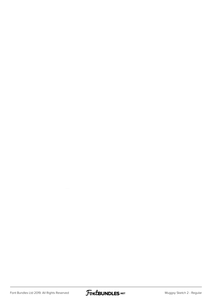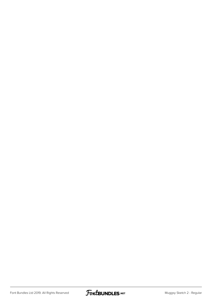